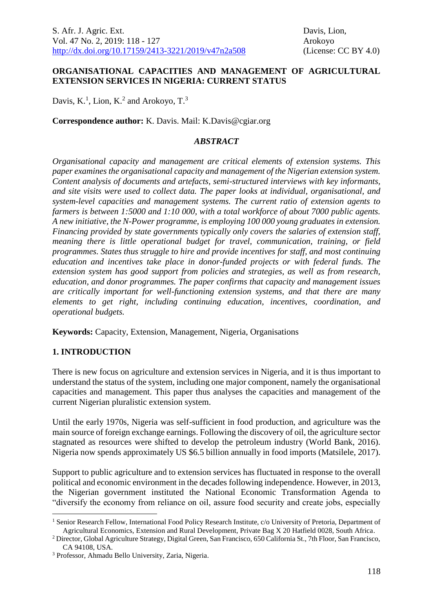#### **ORGANISATIONAL CAPACITIES AND MANAGEMENT OF AGRICULTURAL EXTENSION SERVICES IN NIGERIA: CURRENT STATUS**

Davis,  $K<sup>1</sup>$ , Lion,  $K<sup>2</sup>$  and Arokoyo,  $T<sup>3</sup>$ 

**Correspondence author:** K. Davis. Mail: K.Davis@cgiar.org

#### *ABSTRACT*

*Organisational capacity and management are critical elements of extension systems. This paper examines the organisational capacity and management of the Nigerian extension system. Content analysis of documents and artefacts, semi-structured interviews with key informants, and site visits were used to collect data. The paper looks at individual, organisational, and system-level capacities and management systems. The current ratio of extension agents to farmers is between 1:5000 and 1:10 000, with a total workforce of about 7000 public agents. A new initiative, the N-Power programme, is employing 100 000 young graduates in extension. Financing provided by state governments typically only covers the salaries of extension staff, meaning there is little operational budget for travel, communication, training, or field programmes. States thus struggle to hire and provide incentives for staff, and most continuing education and incentives take place in donor-funded projects or with federal funds. The extension system has good support from policies and strategies, as well as from research, education, and donor programmes. The paper confirms that capacity and management issues are critically important for well-functioning extension systems, and that there are many elements to get right, including continuing education, incentives, coordination, and operational budgets.* 

**Keywords:** Capacity, Extension, Management, Nigeria, Organisations

## **1. INTRODUCTION**

1

There is new focus on agriculture and extension services in Nigeria, and it is thus important to understand the status of the system, including one major component, namely the organisational capacities and management. This paper thus analyses the capacities and management of the current Nigerian pluralistic extension system.

Until the early 1970s, Nigeria was self-sufficient in food production, and agriculture was the main source of foreign exchange earnings. Following the discovery of oil, the agriculture sector stagnated as resources were shifted to develop the petroleum industry (World Bank, 2016). Nigeria now spends approximately US \$6.5 billion annually in food imports (Matsilele, 2017).

Support to public agriculture and to extension services has fluctuated in response to the overall political and economic environment in the decades following independence. However, in 2013, the Nigerian government instituted the National Economic Transformation Agenda to "diversify the economy from reliance on oil, assure food security and create jobs, especially

<sup>&</sup>lt;sup>1</sup> Senior Research Fellow, International Food Policy Research Institute, c/o University of Pretoria, Department of Agricultural Economics, Extension and Rural Development, Private Bag X 20 Hatfield 0028, South Africa.

<sup>2</sup> Director, Global Agriculture Strategy, Digital Green, San Francisco, 650 California St., 7th Floor, San Francisco, CA 94108, USA.

<sup>3</sup> Professor, Ahmadu Bello University, Zaria, Nigeria.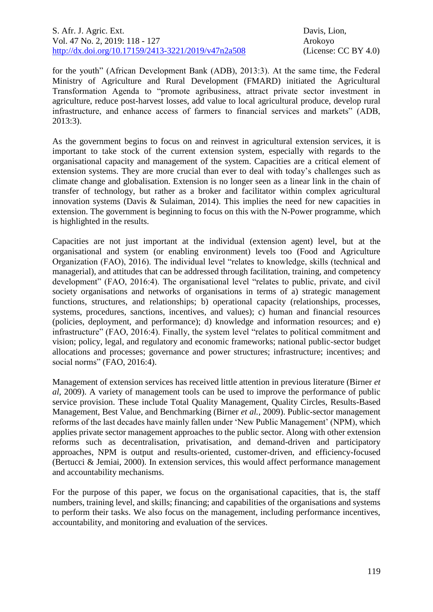for the youth" (African Development Bank (ADB), 2013:3). At the same time, the Federal Ministry of Agriculture and Rural Development (FMARD) initiated the Agricultural Transformation Agenda to "promote agribusiness, attract private sector investment in agriculture, reduce post-harvest losses, add value to local agricultural produce, develop rural infrastructure, and enhance access of farmers to financial services and markets" (ADB, 2013:3).

As the government begins to focus on and reinvest in agricultural extension services, it is important to take stock of the current extension system, especially with regards to the organisational capacity and management of the system. Capacities are a critical element of extension systems. They are more crucial than ever to deal with today's challenges such as climate change and globalisation. Extension is no longer seen as a linear link in the chain of transfer of technology, but rather as a broker and facilitator within complex agricultural innovation systems (Davis & Sulaiman, 2014). This implies the need for new capacities in extension. The government is beginning to focus on this with the N-Power programme, which is highlighted in the results.

Capacities are not just important at the individual (extension agent) level, but at the organisational and system (or enabling environment) levels too (Food and Agriculture Organization (FAO), 2016). The individual level "relates to knowledge, skills (technical and managerial), and attitudes that can be addressed through facilitation, training, and competency development" (FAO, 2016:4). The organisational level "relates to public, private, and civil society organisations and networks of organisations in terms of a) strategic management functions, structures, and relationships; b) operational capacity (relationships, processes, systems, procedures, sanctions, incentives, and values); c) human and financial resources (policies, deployment, and performance); d) knowledge and information resources; and e) infrastructure" (FAO, 2016:4). Finally, the system level "relates to political commitment and vision; policy, legal, and regulatory and economic frameworks; national public-sector budget allocations and processes; governance and power structures; infrastructure; incentives; and social norms" (FAO, 2016:4).

Management of extension services has received little attention in previous literature (Birner *et al*, 2009). A variety of management tools can be used to improve the performance of public service provision. These include Total Quality Management, Quality Circles, Results-Based Management, Best Value, and Benchmarking (Birner *et al.,* 2009). Public-sector management reforms of the last decades have mainly fallen under 'New Public Management' (NPM), which applies private sector management approaches to the public sector. Along with other extension reforms such as decentralisation, privatisation, and demand-driven and participatory approaches, NPM is output and results-oriented, customer-driven, and efficiency-focused (Bertucci & Jemiai, 2000). In extension services, this would affect performance management and accountability mechanisms.

For the purpose of this paper, we focus on the organisational capacities, that is, the staff numbers, training level, and skills; financing; and capabilities of the organisations and systems to perform their tasks. We also focus on the management, including performance incentives, accountability, and monitoring and evaluation of the services.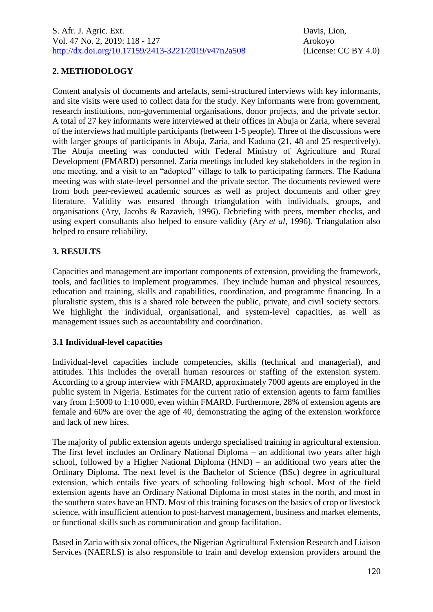# **2. METHODOLOGY**

Content analysis of documents and artefacts, semi-structured interviews with key informants, and site visits were used to collect data for the study. Key informants were from government, research institutions, non-governmental organisations, donor projects, and the private sector. A total of 27 key informants were interviewed at their offices in Abuja or Zaria, where several of the interviews had multiple participants (between 1-5 people). Three of the discussions were with larger groups of participants in Abuja, Zaria, and Kaduna  $(21, 48 \text{ and } 25 \text{ respectively})$ . The Abuja meeting was conducted with Federal Ministry of Agriculture and Rural Development (FMARD) personnel. Zaria meetings included key stakeholders in the region in one meeting, and a visit to an "adopted" village to talk to participating farmers. The Kaduna meeting was with state-level personnel and the private sector. The documents reviewed were from both peer-reviewed academic sources as well as project documents and other grey literature. Validity was ensured through triangulation with individuals, groups, and organisations (Ary, Jacobs & Razavieh, 1996). Debriefing with peers, member checks, and using expert consultants also helped to ensure validity (Ary *et al*, 1996). Triangulation also helped to ensure reliability.

## **3. RESULTS**

Capacities and management are important components of extension, providing the framework, tools, and facilities to implement programmes. They include human and physical resources, education and training, skills and capabilities, coordination, and programme financing. In a pluralistic system, this is a shared role between the public, private, and civil society sectors. We highlight the individual, organisational, and system-level capacities, as well as management issues such as accountability and coordination.

## **3.1 Individual-level capacities**

Individual-level capacities include competencies, skills (technical and managerial), and attitudes. This includes the overall human resources or staffing of the extension system. According to a group interview with FMARD, approximately 7000 agents are employed in the public system in Nigeria. Estimates for the current ratio of extension agents to farm families vary from 1:5000 to 1:10 000, even within FMARD. Furthermore, 28% of extension agents are female and 60% are over the age of 40, demonstrating the aging of the extension workforce and lack of new hires.

The majority of public extension agents undergo specialised training in agricultural extension. The first level includes an Ordinary National Diploma – an additional two years after high school, followed by a Higher National Diploma (HND) – an additional two years after the Ordinary Diploma. The next level is the Bachelor of Science (BSc) degree in agricultural extension, which entails five years of schooling following high school. Most of the field extension agents have an Ordinary National Diploma in most states in the north, and most in the southern states have an HND. Most of this training focuses on the basics of crop or livestock science, with insufficient attention to post-harvest management, business and market elements, or functional skills such as communication and group facilitation.

Based in Zaria with six zonal offices, the Nigerian Agricultural Extension Research and Liaison Services (NAERLS) is also responsible to train and develop extension providers around the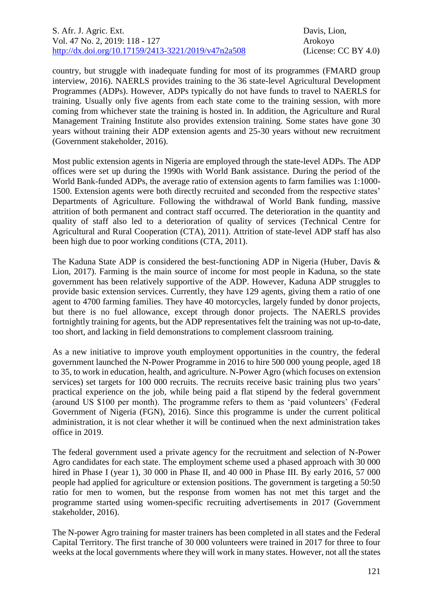country, but struggle with inadequate funding for most of its programmes (FMARD group interview, 2016). NAERLS provides training to the 36 state-level Agricultural Development Programmes (ADPs). However, ADPs typically do not have funds to travel to NAERLS for training. Usually only five agents from each state come to the training session, with more coming from whichever state the training is hosted in. In addition, the Agriculture and Rural Management Training Institute also provides extension training. Some states have gone 30 years without training their ADP extension agents and 25-30 years without new recruitment (Government stakeholder, 2016).

Most public extension agents in Nigeria are employed through the state-level ADPs. The ADP offices were set up during the 1990s with World Bank assistance. During the period of the World Bank-funded ADPs, the average ratio of extension agents to farm families was 1:1000- 1500. Extension agents were both directly recruited and seconded from the respective states' Departments of Agriculture. Following the withdrawal of World Bank funding, massive attrition of both permanent and contract staff occurred. The deterioration in the quantity and quality of staff also led to a deterioration of quality of services (Technical Centre for Agricultural and Rural Cooperation (CTA), 2011). Attrition of state-level ADP staff has also been high due to poor working conditions (CTA, 2011).

The Kaduna State ADP is considered the best-functioning ADP in Nigeria (Huber, Davis & Lion, 2017). Farming is the main source of income for most people in Kaduna, so the state government has been relatively supportive of the ADP. However, Kaduna ADP struggles to provide basic extension services. Currently, they have 129 agents, giving them a ratio of one agent to 4700 farming families. They have 40 motorcycles, largely funded by donor projects, but there is no fuel allowance, except through donor projects. The NAERLS provides fortnightly training for agents, but the ADP representatives felt the training was not up-to-date, too short, and lacking in field demonstrations to complement classroom training.

As a new initiative to improve youth employment opportunities in the country, the federal government launched the N-Power Programme in 2016 to hire 500 000 young people, aged 18 to 35, to work in education, health, and agriculture. N-Power Agro (which focuses on extension services) set targets for 100 000 recruits. The recruits receive basic training plus two years' practical experience on the job, while being paid a flat stipend by the federal government (around US \$100 per month). The programme refers to them as 'paid volunteers' (Federal Government of Nigeria (FGN), 2016). Since this programme is under the current political administration, it is not clear whether it will be continued when the next administration takes office in 2019.

The federal government used a private agency for the recruitment and selection of N-Power Agro candidates for each state. The employment scheme used a phased approach with 30 000 hired in Phase I (year 1), 30 000 in Phase II, and 40 000 in Phase III. By early 2016, 57 000 people had applied for agriculture or extension positions. The government is targeting a 50:50 ratio for men to women, but the response from women has not met this target and the programme started using women-specific recruiting advertisements in 2017 (Government stakeholder, 2016).

The N-power Agro training for master trainers has been completed in all states and the Federal Capital Territory. The first tranche of 30 000 volunteers were trained in 2017 for three to four weeks at the local governments where they will work in many states. However, not all the states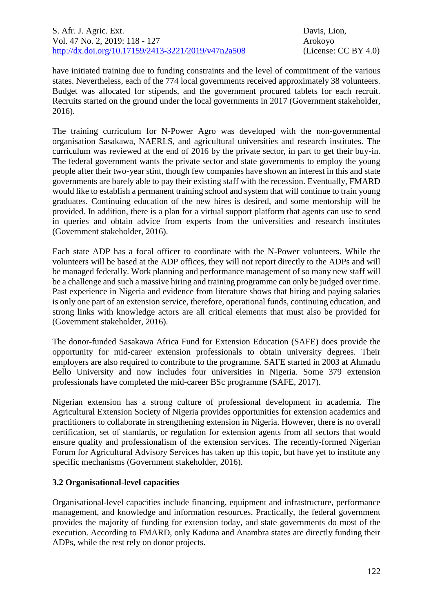have initiated training due to funding constraints and the level of commitment of the various states. Nevertheless, each of the 774 local governments received approximately 38 volunteers. Budget was allocated for stipends, and the government procured tablets for each recruit. Recruits started on the ground under the local governments in 2017 (Government stakeholder, 2016).

The training curriculum for N-Power Agro was developed with the non-governmental organisation Sasakawa, NAERLS, and agricultural universities and research institutes. The curriculum was reviewed at the end of 2016 by the private sector, in part to get their buy-in. The federal government wants the private sector and state governments to employ the young people after their two-year stint, though few companies have shown an interest in this and state governments are barely able to pay their existing staff with the recession. Eventually, FMARD would like to establish a permanent training school and system that will continue to train young graduates. Continuing education of the new hires is desired, and some mentorship will be provided. In addition, there is a plan for a virtual support platform that agents can use to send in queries and obtain advice from experts from the universities and research institutes (Government stakeholder, 2016).

Each state ADP has a focal officer to coordinate with the N-Power volunteers. While the volunteers will be based at the ADP offices, they will not report directly to the ADPs and will be managed federally. Work planning and performance management of so many new staff will be a challenge and such a massive hiring and training programme can only be judged over time. Past experience in Nigeria and evidence from literature shows that hiring and paying salaries is only one part of an extension service, therefore, operational funds, continuing education, and strong links with knowledge actors are all critical elements that must also be provided for (Government stakeholder, 2016).

The donor-funded Sasakawa Africa Fund for Extension Education (SAFE) does provide the opportunity for mid-career extension professionals to obtain university degrees. Their employers are also required to contribute to the programme. SAFE started in 2003 at Ahmadu Bello University and now includes four universities in Nigeria. Some 379 extension professionals have completed the mid-career BSc programme (SAFE, 2017).

Nigerian extension has a strong culture of professional development in academia. The Agricultural Extension Society of Nigeria provides opportunities for extension academics and practitioners to collaborate in strengthening extension in Nigeria. However, there is no overall certification, set of standards, or regulation for extension agents from all sectors that would ensure quality and professionalism of the extension services. The recently-formed Nigerian Forum for Agricultural Advisory Services has taken up this topic, but have yet to institute any specific mechanisms (Government stakeholder, 2016).

## **3.2 Organisational-level capacities**

Organisational-level capacities include financing, equipment and infrastructure, performance management, and knowledge and information resources. Practically, the federal government provides the majority of funding for extension today, and state governments do most of the execution. According to FMARD, only Kaduna and Anambra states are directly funding their ADPs, while the rest rely on donor projects.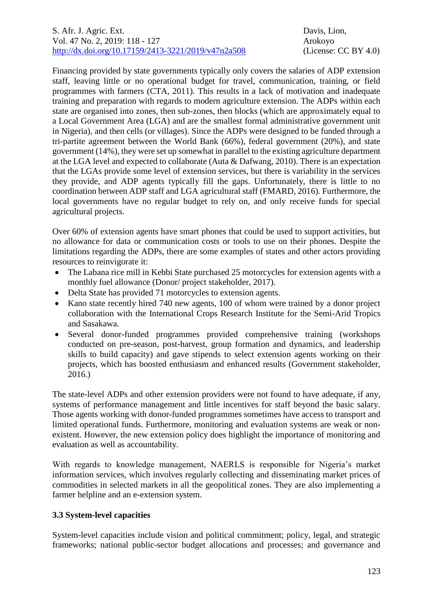## S. Afr. J. Agric. Ext. Davis, Lion, Vol. 47 No. 2, 2019: 118 - 127 Arokoyo [http://dx.doi.org/10.17159/2413-3221/2019/v47n2a5](https://urldefense.proofpoint.com/v2/url?u=http-3A__dx.doi.org_10.17159_2413-2D3221_2019_v47n1a485&d=DwMFAg&c=vTCSeBKl9YZZHWJzz-zQUQ&r=2O1irMqrdumXAIE9PdSLREhTXj5iyPGEywcz8I6zQwI&m=niwmmhX1mCI8GpeJjK8D7j-v09hQgXHBu3LsS3Opojw&s=98o8gy8B6ly02TS5WoJvLScIQPXENi4ceK3R3c9Iu9c&e=)08 (License: CC BY 4.0)

Financing provided by state governments typically only covers the salaries of ADP extension staff, leaving little or no operational budget for travel, communication, training, or field programmes with farmers (CTA, 2011). This results in a lack of motivation and inadequate training and preparation with regards to modern agriculture extension. The ADPs within each state are organised into zones, then sub-zones, then blocks (which are approximately equal to a Local Government Area (LGA) and are the smallest formal administrative government unit in Nigeria), and then cells (or villages). Since the ADPs were designed to be funded through a tri-partite agreement between the World Bank (66%), federal government (20%), and state government (14%), they were set up somewhat in parallel to the existing agriculture department at the LGA level and expected to collaborate (Auta  $\&$  Dafwang, 2010). There is an expectation that the LGAs provide some level of extension services, but there is variability in the services they provide, and ADP agents typically fill the gaps. Unfortunately, there is little to no coordination between ADP staff and LGA agricultural staff (FMARD, 2016). Furthermore, the local governments have no regular budget to rely on, and only receive funds for special agricultural projects.

Over 60% of extension agents have smart phones that could be used to support activities, but no allowance for data or communication costs or tools to use on their phones. Despite the limitations regarding the ADPs, there are some examples of states and other actors providing resources to reinvigorate it:

- The Labana rice mill in Kebbi State purchased 25 motorcycles for extension agents with a monthly fuel allowance (Donor/ project stakeholder, 2017).
- Delta State has provided 71 motorcycles to extension agents.
- Kano state recently hired 740 new agents, 100 of whom were trained by a donor project collaboration with the International Crops Research Institute for the Semi-Arid Tropics and Sasakawa.
- Several donor-funded programmes provided comprehensive training (workshops conducted on pre-season, post-harvest, group formation and dynamics, and leadership skills to build capacity) and gave stipends to select extension agents working on their projects, which has boosted enthusiasm and enhanced results (Government stakeholder, 2016.)

The state-level ADPs and other extension providers were not found to have adequate, if any, systems of performance management and little incentives for staff beyond the basic salary. Those agents working with donor-funded programmes sometimes have access to transport and limited operational funds. Furthermore, monitoring and evaluation systems are weak or nonexistent. However, the new extension policy does highlight the importance of monitoring and evaluation as well as accountability.

With regards to knowledge management, NAERLS is responsible for Nigeria's market information services, which involves regularly collecting and disseminating market prices of commodities in selected markets in all the geopolitical zones. They are also implementing a farmer helpline and an e-extension system.

## **3.3 System-level capacities**

System-level capacities include vision and political commitment; policy, legal, and strategic frameworks; national public-sector budget allocations and processes; and governance and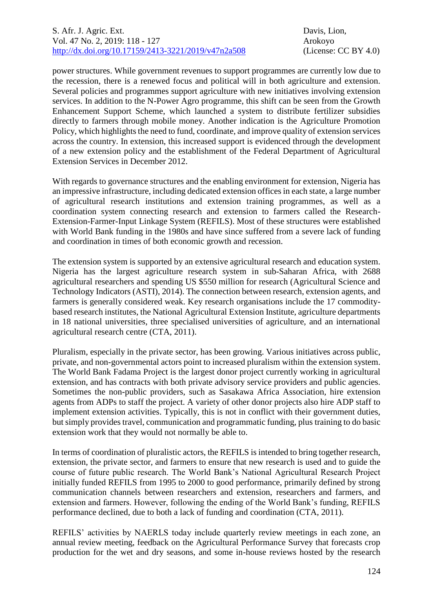power structures. While government revenues to support programmes are currently low due to the recession, there is a renewed focus and political will in both agriculture and extension. Several policies and programmes support agriculture with new initiatives involving extension services. In addition to the N-Power Agro programme, this shift can be seen from the Growth Enhancement Support Scheme, which launched a system to distribute fertilizer subsidies directly to farmers through mobile money. Another indication is the Agriculture Promotion Policy, which highlights the need to fund, coordinate, and improve quality of extension services across the country. In extension, this increased support is evidenced through the development of a new extension policy and the establishment of the Federal Department of Agricultural Extension Services in December 2012.

With regards to governance structures and the enabling environment for extension, Nigeria has an impressive infrastructure, including dedicated extension offices in each state, a large number of agricultural research institutions and extension training programmes, as well as a coordination system connecting research and extension to farmers called the Research-Extension-Farmer-Input Linkage System (REFILS). Most of these structures were established with World Bank funding in the 1980s and have since suffered from a severe lack of funding and coordination in times of both economic growth and recession.

The extension system is supported by an extensive agricultural research and education system. Nigeria has the largest agriculture research system in sub-Saharan Africa, with 2688 agricultural researchers and spending US \$550 million for research (Agricultural Science and Technology Indicators (ASTI), 2014). The connection between research, extension agents, and farmers is generally considered weak. Key research organisations include the 17 commoditybased research institutes, the National Agricultural Extension Institute, agriculture departments in 18 national universities, three specialised universities of agriculture, and an international agricultural research centre (CTA, 2011).

Pluralism, especially in the private sector, has been growing. Various initiatives across public, private, and non-governmental actors point to increased pluralism within the extension system. The World Bank Fadama Project is the largest donor project currently working in agricultural extension, and has contracts with both private advisory service providers and public agencies. Sometimes the non-public providers, such as Sasakawa Africa Association, hire extension agents from ADPs to staff the project. A variety of other donor projects also hire ADP staff to implement extension activities. Typically, this is not in conflict with their government duties, but simply provides travel, communication and programmatic funding, plus training to do basic extension work that they would not normally be able to.

In terms of coordination of pluralistic actors, the REFILS is intended to bring together research, extension, the private sector, and farmers to ensure that new research is used and to guide the course of future public research. The World Bank's National Agricultural Research Project initially funded REFILS from 1995 to 2000 to good performance, primarily defined by strong communication channels between researchers and extension, researchers and farmers, and extension and farmers. However, following the ending of the World Bank's funding, REFILS performance declined, due to both a lack of funding and coordination (CTA, 2011).

REFILS' activities by NAERLS today include quarterly review meetings in each zone, an annual review meeting, feedback on the Agricultural Performance Survey that forecasts crop production for the wet and dry seasons, and some in-house reviews hosted by the research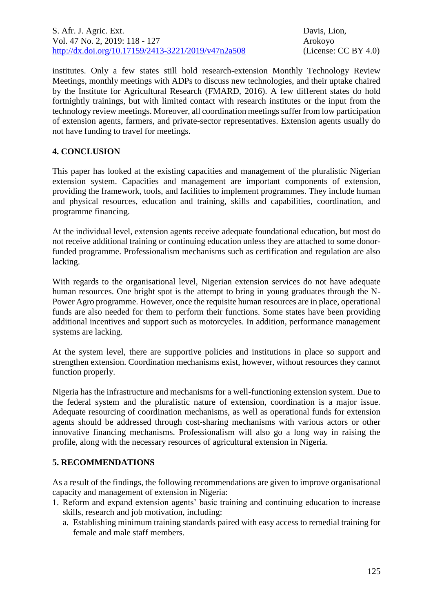institutes. Only a few states still hold research-extension Monthly Technology Review Meetings, monthly meetings with ADPs to discuss new technologies, and their uptake chaired by the Institute for Agricultural Research (FMARD, 2016). A few different states do hold fortnightly trainings, but with limited contact with research institutes or the input from the technology review meetings. Moreover, all coordination meetings suffer from low participation of extension agents, farmers, and private-sector representatives. Extension agents usually do not have funding to travel for meetings.

## **4. CONCLUSION**

This paper has looked at the existing capacities and management of the pluralistic Nigerian extension system. Capacities and management are important components of extension, providing the framework, tools, and facilities to implement programmes. They include human and physical resources, education and training, skills and capabilities, coordination, and programme financing.

At the individual level, extension agents receive adequate foundational education, but most do not receive additional training or continuing education unless they are attached to some donorfunded programme. Professionalism mechanisms such as certification and regulation are also lacking.

With regards to the organisational level, Nigerian extension services do not have adequate human resources. One bright spot is the attempt to bring in young graduates through the N-Power Agro programme. However, once the requisite human resources are in place, operational funds are also needed for them to perform their functions. Some states have been providing additional incentives and support such as motorcycles. In addition, performance management systems are lacking.

At the system level, there are supportive policies and institutions in place so support and strengthen extension. Coordination mechanisms exist, however, without resources they cannot function properly.

Nigeria has the infrastructure and mechanisms for a well-functioning extension system. Due to the federal system and the pluralistic nature of extension, coordination is a major issue. Adequate resourcing of coordination mechanisms, as well as operational funds for extension agents should be addressed through cost-sharing mechanisms with various actors or other innovative financing mechanisms. Professionalism will also go a long way in raising the profile, along with the necessary resources of agricultural extension in Nigeria.

## **5. RECOMMENDATIONS**

As a result of the findings, the following recommendations are given to improve organisational capacity and management of extension in Nigeria:

- 1. Reform and expand extension agents' basic training and continuing education to increase skills, research and job motivation, including:
	- a. Establishing minimum training standards paired with easy access to remedial training for female and male staff members.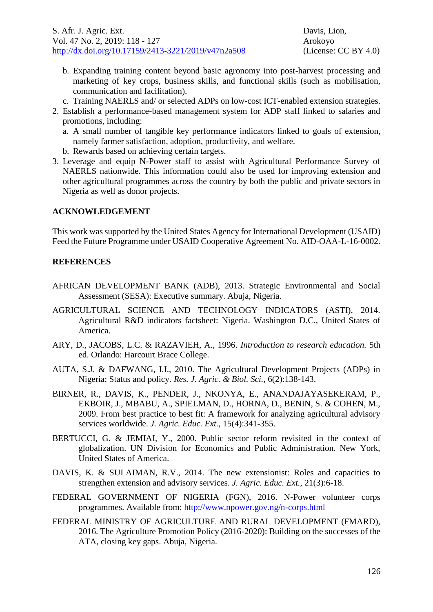- b. Expanding training content beyond basic agronomy into post-harvest processing and marketing of key crops, business skills, and functional skills (such as mobilisation, communication and facilitation).
- c. Training NAERLS and/ or selected ADPs on low-cost ICT-enabled extension strategies.
- 2. Establish a performance-based management system for ADP staff linked to salaries and promotions, including:
	- a. A small number of tangible key performance indicators linked to goals of extension, namely farmer satisfaction, adoption, productivity, and welfare.
	- b. Rewards based on achieving certain targets.
- 3. Leverage and equip N-Power staff to assist with Agricultural Performance Survey of NAERLS nationwide. This information could also be used for improving extension and other agricultural programmes across the country by both the public and private sectors in Nigeria as well as donor projects.

#### **ACKNOWLEDGEMENT**

This work was supported by the United States Agency for International Development (USAID) Feed the Future Programme under USAID Cooperative Agreement No. AID-OAA-L-16-0002.

#### **REFERENCES**

- AFRICAN DEVELOPMENT BANK (ADB), 2013. Strategic Environmental and Social Assessment (SESA): Executive summary. Abuja, Nigeria.
- AGRICULTURAL SCIENCE AND TECHNOLOGY INDICATORS (ASTI), 2014. Agricultural R&D indicators factsheet: Nigeria. Washington D.C., United States of America.
- ARY, D., JACOBS, L.C. & RAZAVIEH, A., 1996. *Introduction to research education.* 5th ed. Orlando: Harcourt Brace College.
- AUTA, S.J. & DAFWANG, I.I., 2010. The Agricultural Development Projects (ADPs) in Nigeria: Status and policy. *Res. J. Agric. & Biol. Sci.,* 6(2):138-143.
- BIRNER, R., DAVIS, K., PENDER, J., NKONYA, E., ANANDAJAYASEKERAM, P., EKBOIR, J., MBABU, A., SPIELMAN, D., HORNA, D., BENIN, S. & COHEN, M., 2009. From best practice to best fit: A framework for analyzing agricultural advisory services worldwide. *J. Agric. Educ. Ext.*, 15(4):341-355.
- BERTUCCI, G. & JEMIAI, Y., 2000. Public sector reform revisited in the context of globalization. UN Division for Economics and Public Administration. New York, United States of America.
- DAVIS, K. & SULAIMAN, R.V., 2014. The new extensionist: Roles and capacities to strengthen extension and advisory services. *J. Agric. Educ. Ext.*, 21(3):6-18.
- FEDERAL GOVERNMENT OF NIGERIA (FGN), 2016. N-Power volunteer corps programmes. Available from:<http://www.npower.gov.ng/n-corps.html>
- FEDERAL MINISTRY OF AGRICULTURE AND RURAL DEVELOPMENT (FMARD), 2016. The Agriculture Promotion Policy (2016-2020): Building on the successes of the ATA, closing key gaps. Abuja, Nigeria.